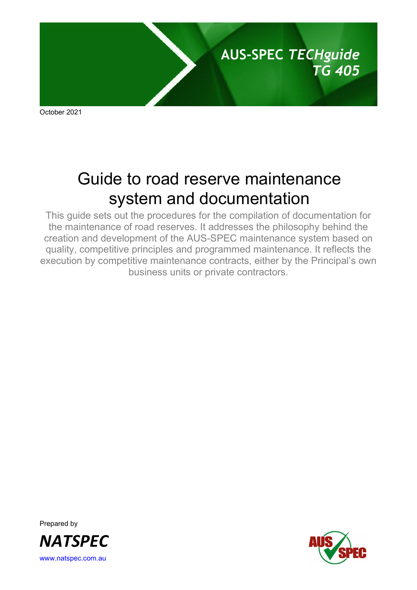

October 2021

# Guide to road reserve maintenance system and documentation

This guide sets out the procedures for the compilation of documentation for the maintenance of road reserves. It addresses the philosophy behind the creation and development of the AUS-SPEC maintenance system based on quality, competitive principles and programmed maintenance. It reflects the execution by competitive maintenance contracts, either by the Principal's own business units or private contractors.

Prepared by *NATSPEC* [www.natspec.com.au](http://www.natspec.com.au/)

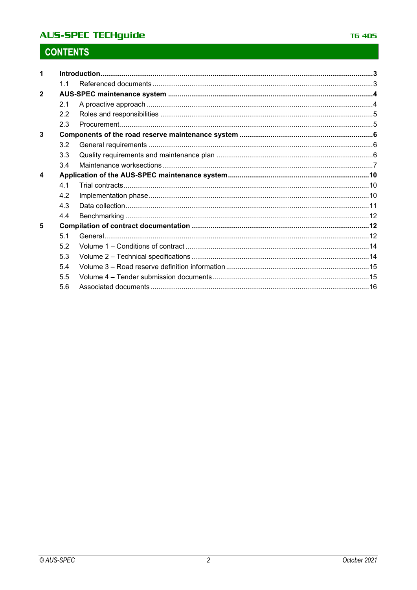## **AUS-SPEC TECHguide**

# **CONTENTS**

|                | 11             |  |  |
|----------------|----------------|--|--|
| $\overline{2}$ |                |  |  |
|                | 2.1            |  |  |
|                | 2.2            |  |  |
|                | 2.3            |  |  |
| 3              |                |  |  |
|                | 3.2            |  |  |
|                | 3.3            |  |  |
|                | 3.4            |  |  |
| 4              |                |  |  |
|                | 4 1            |  |  |
|                | 4.2            |  |  |
|                | 4.3            |  |  |
|                | 4.4            |  |  |
| 5              |                |  |  |
|                | 5 <sub>1</sub> |  |  |
|                | 5.2            |  |  |
|                | 5.3            |  |  |
|                | 5.4            |  |  |
|                | 5.5            |  |  |
|                | 5.6            |  |  |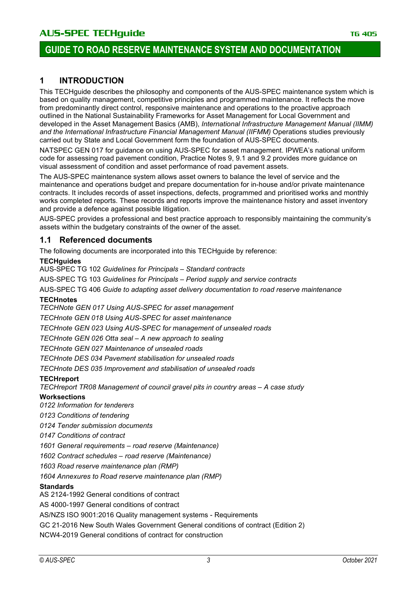### **1 INTRODUCTION**

This TECHguide describes the philosophy and components of the AUS-SPEC maintenance system which is based on quality management, competitive principles and programmed maintenance. It reflects the move from predominantly direct control, responsive maintenance and operations to the proactive approach outlined in the National Sustainability Frameworks for Asset Management for Local Government and developed in the Asset Management Basics (AMB), *International Infrastructure Management Manual (IIMM)*  and the International Infrastructure Financial Management Manual (IIFMM) Operations studies previously carried out by State and Local Government form the foundation of AUS-SPEC documents.

NATSPEC GEN 017 for guidance on using AUS-SPEC for asset management. IPWEA's national uniform code for assessing road pavement condition, Practice Notes 9, 9.1 and 9.2 provides more guidance on visual assessment of condition and asset performance of road pavement assets.

The AUS-SPEC maintenance system allows asset owners to balance the level of service and the maintenance and operations budget and prepare documentation for in-house and/or private maintenance contracts. It includes records of asset inspections, defects, programmed and prioritised works and monthly works completed reports. These records and reports improve the maintenance history and asset inventory and provide a defence against possible litigation.

AUS-SPEC provides a professional and best practice approach to responsibly maintaining the community's assets within the budgetary constraints of the owner of the asset.

### **1.1 Referenced documents**

The following documents are incorporated into this TECHguide by reference:

#### **TECHguides**

AUS-SPEC TG 102 *Guidelines for Principals – Standard contracts*

AUS-SPEC TG 103 *Guidelines for Principals – Period supply and service contracts*

AUS-SPEC TG 406 *Guide to adapting asset delivery documentation to road reserve maintenance*

#### **TECHnotes**

*TECHNote GEN 017 Using AUS-SPEC for asset management*

*TECHnote GEN 018 Using AUS-SPEC for asset maintenance*

*TECHnote GEN 023 Using AUS-SPEC for management of unsealed roads*

*TECHnote GEN 026 Otta seal – A new approach to sealing*

*TECHnote GEN 027 Maintenance of unsealed roads*

*TECHnote DES 034 Pavement stabilisation for unsealed roads* 

*TECHnote DES 035 Improvement and stabilisation of unsealed roads*

#### **TECHreport**

*TECHreport TR08 Management of council gravel pits in country areas – A case study*

#### **Worksections**

*0122 Information for tenderers*

*0123 Conditions of tendering*

*0124 Tender submission documents*

*0147 Conditions of contract*

*1601 General requirements – road reserve (Maintenance)*

*1602 Contract schedules – road reserve (Maintenance)*

*1603 Road reserve maintenance plan (RMP)*

*1604 Annexures to Road reserve maintenance plan (RMP)*

#### **Standards**

AS 2124-1992 General conditions of contract

AS 4000-1997 General conditions of contract

AS/NZS ISO 9001:2016 Quality management systems - Requirements

GC 21-2016 New South Wales Government General conditions of contract (Edition 2)

NCW4-2019 General conditions of contract for construction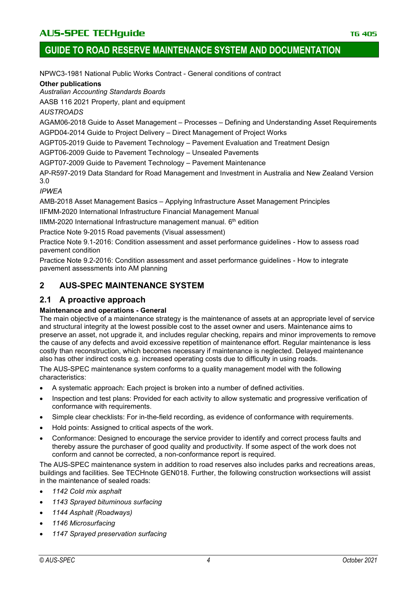NPWC3-1981 National Public Works Contract - General conditions of contract

#### **Other publications**

*Australian Accounting Standards Boards*

AASB 116 2021 Property, plant and equipment

*AUSTROADS*

AGAM06-2018 Guide to Asset Management – Processes – Defining and Understanding Asset Requirements AGPD04-2014 Guide to Project Delivery – Direct Management of Project Works

AGPT05-2019 Guide to Pavement Technology – Pavement Evaluation and Treatment Design

AGPT06-2009 Guide to Pavement Technology – Unsealed Pavements

AGPT07-2009 Guide to Pavement Technology – Pavement Maintenance

AP-R597-2019 Data Standard for Road Management and Investment in Australia and New Zealand Version 3.0

#### *IPWEA*

AMB-2018 Asset Management Basics – Applying Infrastructure Asset Management Principles

IIFMM-2020 International Infrastructure Financial Management Manual

IIMM-2020 International Infrastructure management manual.  $6<sup>th</sup>$  edition

Practice Note 9-2015 Road pavements (Visual assessment)

Practice Note 9.1-2016: Condition assessment and asset performance guidelines - How to assess road pavement condition

Practice Note 9.2-2016: Condition assessment and asset performance guidelines - How to integrate pavement assessments into AM planning

### **2 AUS-SPEC MAINTENANCE SYSTEM**

### **2.1 A proactive approach**

#### **Maintenance and operations - General**

The main objective of a maintenance strategy is the maintenance of assets at an appropriate level of service and structural integrity at the lowest possible cost to the asset owner and users. Maintenance aims to preserve an asset, not upgrade it, and includes regular checking, repairs and minor improvements to remove the cause of any defects and avoid excessive repetition of maintenance effort. Regular maintenance is less costly than reconstruction, which becomes necessary if maintenance is neglected. Delayed maintenance also has other indirect costs e.g. increased operating costs due to difficulty in using roads.

The AUS-SPEC maintenance system conforms to a quality management model with the following characteristics:

- A systematic approach: Each project is broken into a number of defined activities.
- Inspection and test plans: Provided for each activity to allow systematic and progressive verification of conformance with requirements.
- Simple clear checklists: For in-the-field recording, as evidence of conformance with requirements.
- Hold points: Assigned to critical aspects of the work.
- Conformance: Designed to encourage the service provider to identify and correct process faults and thereby assure the purchaser of good quality and productivity. If some aspect of the work does not conform and cannot be corrected, a non-conformance report is required.

The AUS-SPEC maintenance system in addition to road reserves also includes parks and recreations areas, buildings and facilities. See TECHnote GEN018. Further, the following construction worksections will assist in the maintenance of sealed roads:

- *1142 Cold mix asphalt*
- *1143 Sprayed bituminous surfacing*
- *1144 Asphalt (Roadways)*
- *1146 Microsurfacing*
- *1147 Sprayed preservation surfacing*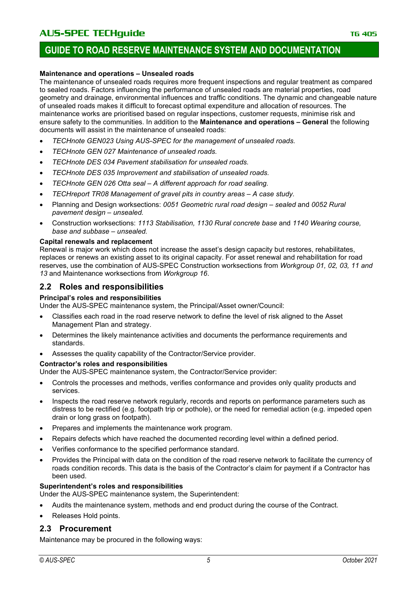### **GUIDE TO ROAD RESERVE MAINTENANCE SYSTEM AND DOCUMENTATION**

#### **Maintenance and operations – Unsealed roads**

The maintenance of unsealed roads requires more frequent inspections and regular treatment as compared to sealed roads. Factors influencing the performance of unsealed roads are material properties, road geometry and drainage, environmental influences and traffic conditions. The dynamic and changeable nature of unsealed roads makes it difficult to forecast optimal expenditure and allocation of resources. The maintenance works are prioritised based on regular inspections, customer requests, minimise risk and ensure safety to the communities. In addition to the **Maintenance and operations – General** the following documents will assist in the maintenance of unsealed roads:

- *TECHnote GEN023 Using AUS-SPEC for the management of unsealed roads.*
- *TECHnote GEN 027 Maintenance of unsealed roads.*
- *TECHnote DES 034 Pavement stabilisation for unsealed roads.*
- *TECHnote DES 035 Improvement and stabilisation of unsealed roads.*
- *TECHnote GEN 026 Otta seal – A different approach for road sealing.*
- *TECHreport TR08 Management of gravel pits in country areas – A case study.*
- Planning and Design worksections: *0051 Geometric rural road design – sealed* and *0052 Rural pavement design – unsealed.*
- Construction worksections: *1113 Stabilisation, 1130 Rural concrete base* and *1140 Wearing course, base and subbase – unsealed.*

#### **Capital renewals and replacement**

Renewal is major work which does not increase the asset's design capacity but restores, rehabilitates, replaces or renews an existing asset to its original capacity. For asset renewal and rehabilitation for road reserves, use the combination of AUS-SPEC Construction worksections from *Workgroup 01, 02, 03, 11 and 13* and Maintenance worksections from *Workgroup 16*.

### **2.2 Roles and responsibilities**

#### **Principal's roles and responsibilities**

Under the AUS-SPEC maintenance system, the Principal/Asset owner/Council:

- Classifies each road in the road reserve network to define the level of risk aligned to the Asset Management Plan and strategy.
- Determines the likely maintenance activities and documents the performance requirements and standards.
- Assesses the quality capability of the Contractor/Service provider.

#### **Contractor's roles and responsibilities**

Under the AUS-SPEC maintenance system, the Contractor/Service provider:

- Controls the processes and methods, verifies conformance and provides only quality products and services.
- Inspects the road reserve network regularly, records and reports on performance parameters such as distress to be rectified (e.g. footpath trip or pothole), or the need for remedial action (e.g. impeded open drain or long grass on footpath).
- Prepares and implements the maintenance work program.
- Repairs defects which have reached the documented recording level within a defined period.
- Verifies conformance to the specified performance standard.
- Provides the Principal with data on the condition of the road reserve network to facilitate the currency of roads condition records. This data is the basis of the Contractor's claim for payment if a Contractor has been used.

#### **Superintendent's roles and responsibilities**

Under the AUS-SPEC maintenance system, the Superintendent:

- Audits the maintenance system, methods and end product during the course of the Contract.
- Releases Hold points.

#### **2.3 Procurement**

Maintenance may be procured in the following ways: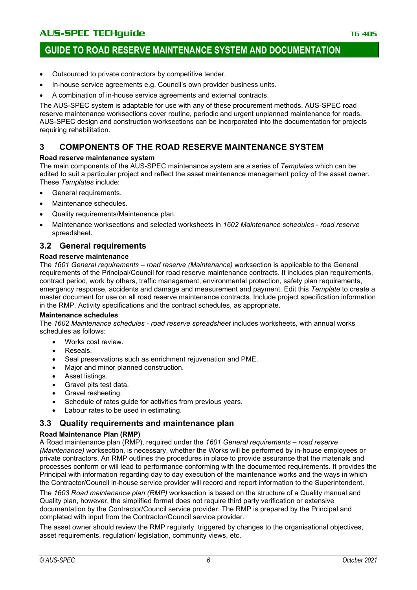- Outsourced to private contractors by competitive tender.
- In-house service agreements e.g. Council's own provider business units.
- A combination of in-house service agreements and external contracts.

The AUS-SPEC system is adaptable for use with any of these procurement methods. AUS-SPEC road reserve maintenance worksections cover routine, periodic and urgent unplanned maintenance for roads. AUS-SPEC design and construction worksections can be incorporated into the documentation for projects requiring rehabilitation.

### **3 COMPONENTS OF THE ROAD RESERVE MAINTENANCE SYSTEM**

#### **Road reserve maintenance system**

The main components of the AUS-SPEC maintenance system are a series of *Templates* which can be edited to suit a particular project and reflect the asset maintenance management policy of the asset owner. These *Templates* include:

- General requirements.
- Maintenance schedules.
- Quality requirements/Maintenance plan.
- Maintenance worksections and selected worksheets in *1602 Maintenance schedules - road reserve* spreadsheet.

#### **3.2 General requirements**

#### **Road reserve maintenance**

The *1601 General requirements – road reserve (Maintenance)* worksection is applicable to the General requirements of the Principal/Council for road reserve maintenance contracts. It includes plan requirements, contract period, work by others, traffic management, environmental protection, safety plan requirements, emergency response, accidents and damage and measurement and payment. Edit this *Template* to create a master document for use on all road reserve maintenance contracts. Include project specification information in the RMP, Activity specifications and the contract schedules, as appropriate.

#### **Maintenance schedules**

The *1602 Maintenance schedules - road reserve spreadsheet* includes worksheets, with annual works schedules as follows:

- Works cost review.
- Reseals.
- Seal preservations such as enrichment rejuvenation and PME.
- Major and minor planned construction.
- Asset listings.
- Gravel pits test data.
- Gravel resheeting.
- Schedule of rates guide for activities from previous years.
- Labour rates to be used in estimating.

#### **3.3 Quality requirements and maintenance plan**

#### **Road Maintenance Plan (RMP)**

A Road maintenance plan (RMP), required under the *1601 General requirements – road reserve (Maintenance)* worksection, is necessary, whether the Works will be performed by in-house employees or private contractors. An RMP outlines the procedures in place to provide assurance that the materials and processes conform or will lead to performance conforming with the documented requirements. It provides the Principal with information regarding day to day execution of the maintenance works and the ways in which the Contractor/Council in-house service provider will record and report information to the Superintendent.

The *1603 Road maintenance plan (RMP)* worksection is based on the structure of a Quality manual and Quality plan, however, the simplified format does not require third party verification or extensive documentation by the Contractor/Council service provider. The RMP is prepared by the Principal and completed with input from the Contractor/Council service provider.

The asset owner should review the RMP regularly, triggered by changes to the organisational objectives, asset requirements, requiation/ legislation, community views, etc.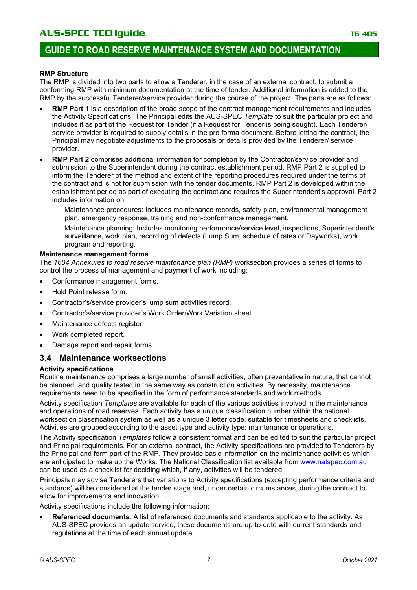#### **RMP Structure**

The RMP is divided into two parts to allow a Tenderer, in the case of an external contract, to submit a conforming RMP with minimum documentation at the time of tender. Additional information is added to the RMP by the successful Tenderer/service provider during the course of the project. The parts are as follows:

- **RMP Part 1** is a description of the broad scope of the contract management requirements and includes the Activity Specifications. The Principal edits the AUS-SPEC *Template* to suit the particular project and includes it as part of the Request for Tender (if a Request for Tender is being sought). Each Tenderer/ service provider is required to supply details in the pro forma document. Before letting the contract, the Principal may negotiate adjustments to the proposals or details provided by the Tenderer/ service provider.
- **RMP Part 2** comprises additional information for completion by the Contractor/service provider and submission to the Superintendent during the contract establishment period. RMP Part 2 is supplied to inform the Tenderer of the method and extent of the reporting procedures required under the terms of the contract and is not for submission with the tender documents. RMP Part 2 is developed within the establishment period as part of executing the contract and requires the Superintendent's approval. Part 2 includes information on:
	- . Maintenance procedures: Includes maintenance records, safety plan, environmental management plan, emergency response, training and non-conformance management.
	- . Maintenance planning: Includes monitoring performance/service level, inspections, Superintendent's surveillance, work plan, recording of defects (Lump Sum, schedule of rates or Dayworks), work program and reporting.

#### **Maintenance management forms**

The *1604 Annexures to road reserve maintenance plan (RMP)* worksection provides a series of forms to control the process of management and payment of work including:

- Conformance management forms.
- Hold Point release form.
- Contractor's/service provider's lump sum activities record.
- Contractor's/service provider's Work Order/Work Variation sheet.
- Maintenance defects register.
- Work completed report.
- Damage report and repair forms.

#### **3.4 Maintenance worksections**

#### **Activity specifications**

Routine maintenance comprises a large number of small activities, often preventative in nature, that cannot be planned, and quality tested in the same way as construction activities. By necessity, maintenance requirements need to be specified in the form of performance standards and work methods.

Activity specification *Templates* are available for each of the various activities involved in the maintenance and operations of road reserves. Each activity has a unique classification number within the national worksection classification system as well as a unique 3 letter code, suitable for timesheets and checklists. Activities are grouped according to the asset type and activity type: maintenance or operations.

The Activity specification *Templates* follow a consistent format and can be edited to suit the particular project and Principal requirements. For an external contract, the Activity specifications are provided to Tenderers by the Principal and form part of the RMP. They provide basic information on the maintenance activities which are anticipated to make up the Works. The National Classification list available from [www.natspec.com.au](https://www.natspec.com.au/resources/national-classification-system) can be used as a checklist for deciding which, if any, activities will be tendered.

Principals may advise Tenderers that variations to Activity specifications (excepting performance criteria and standards) will be considered at the tender stage and, under certain circumstances, during the contract to allow for improvements and innovation.

Activity specifications include the following information:

• **Referenced documents**: A list of referenced documents and standards applicable to the activity. As AUS-SPEC provides an update service, these documents are up-to-date with current standards and regulations at the time of each annual update.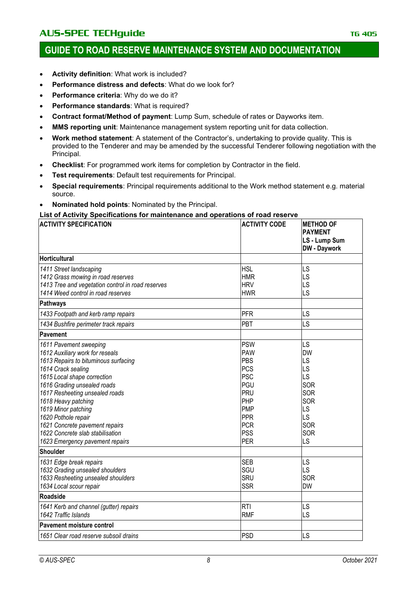- **Activity definition**: What work is included?
- **Performance distress and defects**: What do we look for?
- **Performance criteria**: Why do we do it?
- **Performance standards: What is required?**
- **Contract format/Method of payment**: Lump Sum, schedule of rates or Dayworks item.
- **MMS reporting unit**: Maintenance management system reporting unit for data collection.
- **Work method statement**: A statement of the Contractor's, undertaking to provide quality. This is provided to the Tenderer and may be amended by the successful Tenderer following negotiation with the Principal.
- **Checklist**: For programmed work items for completion by Contractor in the field.
- **Test requirements: Default test requirements for Principal.**
- **Special requirements**: Principal requirements additional to the Work method statement e.g. material source.
- **Nominated hold points**: Nominated by the Principal.

#### **List of Activity Specifications for maintenance and operations of road reserve**

| <b>ACTIVITY SPECIFICATION</b>                                                                                                                                                                                                                                                                                                                                                                         | <b>ACTIVITY CODE</b>                                                                                                                                   | <b>METHOD OF</b><br><b>PAYMENT</b><br>LS - Lump Sum<br><b>DW</b> - Daywork             |
|-------------------------------------------------------------------------------------------------------------------------------------------------------------------------------------------------------------------------------------------------------------------------------------------------------------------------------------------------------------------------------------------------------|--------------------------------------------------------------------------------------------------------------------------------------------------------|----------------------------------------------------------------------------------------|
| <b>Horticultural</b>                                                                                                                                                                                                                                                                                                                                                                                  |                                                                                                                                                        |                                                                                        |
| 1411 Street landscaping<br>1412 Grass mowing in road reserves<br>1413 Tree and vegetation control in road reserves<br>1414 Weed control in road reserves                                                                                                                                                                                                                                              | <b>HSL</b><br><b>HMR</b><br><b>HRV</b><br><b>HWR</b>                                                                                                   | LS<br>LS<br>LS<br>LS                                                                   |
| <b>Pathways</b>                                                                                                                                                                                                                                                                                                                                                                                       |                                                                                                                                                        |                                                                                        |
| 1433 Footpath and kerb ramp repairs                                                                                                                                                                                                                                                                                                                                                                   | PFR                                                                                                                                                    | LS                                                                                     |
| 1434 Bushfire perimeter track repairs                                                                                                                                                                                                                                                                                                                                                                 | PBT                                                                                                                                                    | LS                                                                                     |
| Pavement                                                                                                                                                                                                                                                                                                                                                                                              |                                                                                                                                                        |                                                                                        |
| 1611 Pavement sweeping<br>1612 Auxiliary work for reseals<br>1613 Repairs to bituminous surfacing<br>1614 Crack sealing<br>1615 Local shape correction<br>1616 Grading unsealed roads<br>1617 Resheeting unsealed roads<br>1618 Heavy patching<br>1619 Minor patching<br>1620 Pothole repair<br>1621 Concrete pavement repairs<br>1622 Concrete slab stabilisation<br>1623 Emergency pavement repairs | <b>PSW</b><br><b>PAW</b><br>PBS<br><b>PCS</b><br><b>PSC</b><br>PGU<br>PRU<br>PHP<br><b>PMP</b><br><b>PPR</b><br><b>PCR</b><br><b>PSS</b><br><b>PER</b> | LS<br><b>DW</b><br>LS<br>LS<br>LS<br>SOR<br>SOR<br>SOR<br>LS<br>LS<br>SOR<br>SOR<br>LS |
| <b>Shoulder</b>                                                                                                                                                                                                                                                                                                                                                                                       |                                                                                                                                                        |                                                                                        |
| 1631 Edge break repairs<br>1632 Grading unsealed shoulders<br>1633 Resheeting unsealed shoulders<br>1634 Local scour repair                                                                                                                                                                                                                                                                           | <b>SEB</b><br>SGU<br><b>SRU</b><br><b>SSR</b>                                                                                                          | LS<br>LS<br>SOR<br><b>DW</b>                                                           |
| <b>Roadside</b>                                                                                                                                                                                                                                                                                                                                                                                       |                                                                                                                                                        |                                                                                        |
| 1641 Kerb and channel (gutter) repairs<br>1642 Traffic Islands                                                                                                                                                                                                                                                                                                                                        | <b>RTI</b><br><b>RMF</b>                                                                                                                               | LS<br>LS                                                                               |
| Pavement moisture control                                                                                                                                                                                                                                                                                                                                                                             |                                                                                                                                                        |                                                                                        |
| 1651 Clear road reserve subsoil drains                                                                                                                                                                                                                                                                                                                                                                | <b>PSD</b>                                                                                                                                             | LS                                                                                     |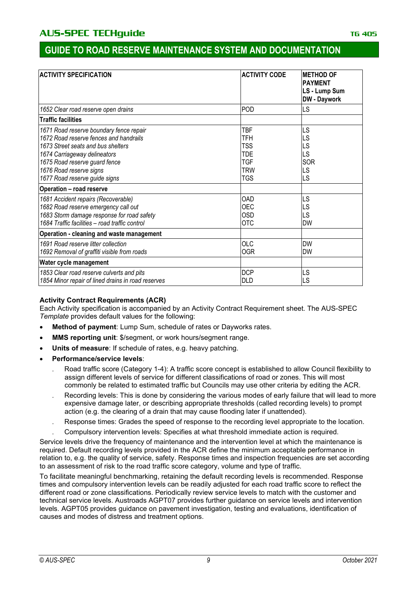| <b>ACTIVITY SPECIFICATION</b>                                                                                                                                                                                                                                                                                                  | <b>ACTIVITY CODE</b>                                                                                  | <b>METHOD OF</b><br><b>PAYMENT</b><br>LS - Lump Sum<br><b>DW</b> - Daywork |
|--------------------------------------------------------------------------------------------------------------------------------------------------------------------------------------------------------------------------------------------------------------------------------------------------------------------------------|-------------------------------------------------------------------------------------------------------|----------------------------------------------------------------------------|
| 1652 Clear road reserve open drains                                                                                                                                                                                                                                                                                            | POD                                                                                                   | LS                                                                         |
| <b>Traffic facilities</b>                                                                                                                                                                                                                                                                                                      |                                                                                                       |                                                                            |
| 1671 Road reserve boundary fence repair<br>1672 Road reserve fences and handrails<br>1673 Street seats and bus shelters<br>1674 Carriageway delineators<br>1675 Road reserve guard fence<br>1676 Road reserve signs<br>1677 Road reserve guide signs<br><b>Operation - road reserve</b><br>1681 Accident repairs (Recoverable) | <b>TBF</b><br>TFH<br><b>TSS</b><br><b>TDE</b><br><b>TGF</b><br><b>TRW</b><br><b>TGS</b><br><b>OAD</b> | LS<br>LS<br>LS<br>LS<br>SOR<br>LS<br>LS<br>LS                              |
| 1682 Road reserve emergency call out<br>1683 Storm damage response for road safety<br>1684 Traffic facilities - road traffic control                                                                                                                                                                                           | <b>OEC</b><br><b>OSD</b><br><b>OTC</b>                                                                | LS<br>LS<br><b>DW</b>                                                      |
| Operation - cleaning and waste management                                                                                                                                                                                                                                                                                      |                                                                                                       |                                                                            |
| 1691 Road reserve litter collection<br>1692 Removal of graffiti visible from roads                                                                                                                                                                                                                                             | <b>OLC</b><br><b>OGR</b>                                                                              | <b>DW</b><br>DW                                                            |
| Water cycle management                                                                                                                                                                                                                                                                                                         |                                                                                                       |                                                                            |
| 1853 Clear road reserve culverts and pits<br>1854 Minor repair of lined drains in road reserves                                                                                                                                                                                                                                | <b>DCP</b><br><b>DLD</b>                                                                              | LS<br>LS                                                                   |

#### **Activity Contract Requirements (ACR)**

Each Activity specification is accompanied by an Activity Contract Requirement sheet. The AUS-SPEC *Template* provides default values for the following:

- Method of payment: Lump Sum, schedule of rates or Dayworks rates.
- **MMS reporting unit**: \$/segment, or work hours/segment range.
- **Units of measure**: If schedule of rates, e.g. heavy patching.
- **Performance/service levels**:
	- Road traffic score (Category 1-4): A traffic score concept is established to allow Council flexibility to assign different levels of service for different classifications of road or zones. This will most commonly be related to estimated traffic but Councils may use other criteria by editing the ACR.
	- Recording levels: This is done by considering the various modes of early failure that will lead to more expensive damage later, or describing appropriate thresholds (called recording levels) to prompt action (e.g. the clearing of a drain that may cause flooding later if unattended).
	- . Response times: Grades the speed of response to the recording level appropriate to the location.
	- . Compulsory intervention levels: Specifies at what threshold immediate action is required.

Service levels drive the frequency of maintenance and the intervention level at which the maintenance is required. Default recording levels provided in the ACR define the minimum acceptable performance in relation to, e.g. the quality of service, safety. Response times and inspection frequencies are set according to an assessment of risk to the road traffic score category, volume and type of traffic.

To facilitate meaningful benchmarking, retaining the default recording levels is recommended. Response times and compulsory intervention levels can be readily adjusted for each road traffic score to reflect the different road or zone classifications. Periodically review service levels to match with the customer and technical service levels. Austroads AGPT07 provides further guidance on service levels and intervention levels. AGPT05 provides guidance on pavement investigation, testing and evaluations, identification of causes and modes of distress and treatment options.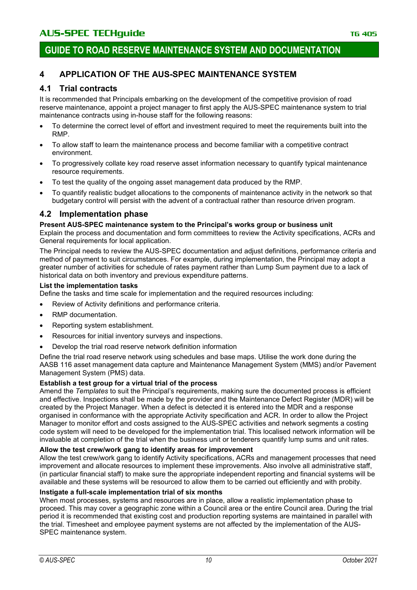### **4 APPLICATION OF THE AUS-SPEC MAINTENANCE SYSTEM**

### **4.1 Trial contracts**

It is recommended that Principals embarking on the development of the competitive provision of road reserve maintenance, appoint a project manager to first apply the AUS-SPEC maintenance system to trial maintenance contracts using in-house staff for the following reasons:

- To determine the correct level of effort and investment required to meet the requirements built into the RMP.
- To allow staff to learn the maintenance process and become familiar with a competitive contract environment.
- To progressively collate key road reserve asset information necessary to quantify typical maintenance resource requirements.
- To test the quality of the ongoing asset management data produced by the RMP.
- To quantify realistic budget allocations to the components of maintenance activity in the network so that budgetary control will persist with the advent of a contractual rather than resource driven program.

#### **4.2 Implementation phase**

#### **Present AUS-SPEC maintenance system to the Principal's works group or business unit**

Explain the process and documentation and form committees to review the Activity specifications, ACRs and General requirements for local application.

The Principal needs to review the AUS-SPEC documentation and adjust definitions, performance criteria and method of payment to suit circumstances. For example, during implementation, the Principal may adopt a greater number of activities for schedule of rates payment rather than Lump Sum payment due to a lack of historical data on both inventory and previous expenditure patterns.

#### **List the implementation tasks**

Define the tasks and time scale for implementation and the required resources including:

- Review of Activity definitions and performance criteria.
- RMP documentation.
- Reporting system establishment.
- Resources for initial inventory surveys and inspections.
- Develop the trial road reserve network definition information

Define the trial road reserve network using schedules and base maps. Utilise the work done during the AASB 116 asset management data capture and Maintenance Management System (MMS) and/or Pavement Management System (PMS) data.

#### **Establish a test group for a virtual trial of the process**

Amend the *Templates* to suit the Principal's requirements, making sure the documented process is efficient and effective. Inspections shall be made by the provider and the Maintenance Defect Register (MDR) will be created by the Project Manager. When a defect is detected it is entered into the MDR and a response organised in conformance with the appropriate Activity specification and ACR. In order to allow the Project Manager to monitor effort and costs assigned to the AUS-SPEC activities and network segments a costing code system will need to be developed for the implementation trial. This localised network information will be invaluable at completion of the trial when the business unit or tenderers quantify lump sums and unit rates.

#### **Allow the test crew/work gang to identify areas for improvement**

Allow the test crew/work gang to identify Activity specifications, ACRs and management processes that need improvement and allocate resources to implement these improvements. Also involve all administrative staff, (in particular financial staff) to make sure the appropriate independent reporting and financial systems will be available and these systems will be resourced to allow them to be carried out efficiently and with probity.

#### **Instigate a full-scale implementation trial of six months**

When most processes, systems and resources are in place, allow a realistic implementation phase to proceed. This may cover a geographic zone within a Council area or the entire Council area. During the trial period it is recommended that existing cost and production reporting systems are maintained in parallel with the trial. Timesheet and employee payment systems are not affected by the implementation of the AUS-SPEC maintenance system.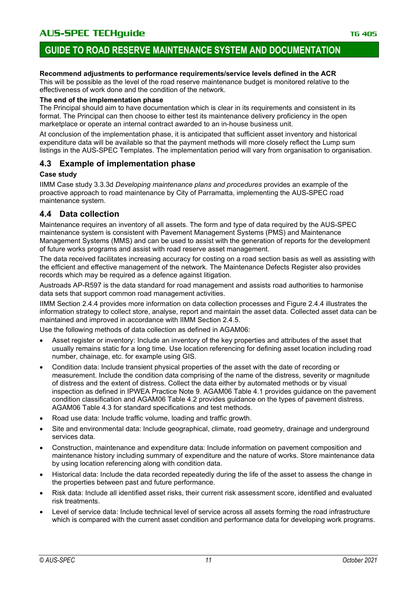#### **Recommend adjustments to performance requirements/service levels defined in the ACR**

This will be possible as the level of the road reserve maintenance budget is monitored relative to the effectiveness of work done and the condition of the network.

#### **The end of the implementation phase**

The Principal should aim to have documentation which is clear in its requirements and consistent in its format. The Principal can then choose to either test its maintenance delivery proficiency in the open marketplace or operate an internal contract awarded to an in-house business unit.

At conclusion of the implementation phase, it is anticipated that sufficient asset inventory and historical expenditure data will be available so that the payment methods will more closely reflect the Lump sum listings in the AUS-SPEC Templates. The implementation period will vary from organisation to organisation.

### **4.3 Example of implementation phase**

#### **Case study**

IIMM Case study 3.3.3d *Developing maintenance plans and procedures* provides an example of the proactive approach to road maintenance by City of Parramatta, implementing the AUS-SPEC road maintenance system.

### **4.4 Data collection**

Maintenance requires an inventory of all assets. The form and type of data required by the AUS-SPEC maintenance system is consistent with Pavement Management Systems (PMS) and Maintenance Management Systems (MMS) and can be used to assist with the generation of reports for the development of future works programs and assist with road reserve asset management.

The data received facilitates increasing accuracy for costing on a road section basis as well as assisting with the efficient and effective management of the network. The Maintenance Defects Register also provides records which may be required as a defence against litigation.

Austroads AP-R597 is the data standard for road management and assists road authorities to harmonise data sets that support common road management activities.

IIMM Section 2.4.4 provides more information on data collection processes and Figure 2.4.4 illustrates the information strategy to collect store, analyse, report and maintain the asset data. Collected asset data can be maintained and improved in accordance with IIMM Section 2.4.5.

Use the following methods of data collection as defined in AGAM06:

- Asset register or inventory: Include an inventory of the key properties and attributes of the asset that usually remains static for a long time. Use location referencing for defining asset location including road number, chainage, etc. for example using GIS.
- Condition data: Include transient physical properties of the asset with the date of recording or measurement. Include the condition data comprising of the name of the distress, severity or magnitude of distress and the extent of distress. Collect the data either by automated methods or by visual inspection as defined in IPWEA Practice Note 9. AGAM06 Table 4.1 provides guidance on the pavement condition classification and AGAM06 Table 4.2 provides guidance on the types of pavement distress. AGAM06 Table 4.3 for standard specifications and test methods.
- Road use data: Include traffic volume, loading and traffic growth.
- Site and environmental data: Include geographical, climate, road geometry, drainage and underground services data.
- Construction, maintenance and expenditure data: Include information on pavement composition and maintenance history including summary of expenditure and the nature of works. Store maintenance data by using location referencing along with condition data.
- Historical data: Include the data recorded repeatedly during the life of the asset to assess the change in the properties between past and future performance.
- Risk data: Include all identified asset risks, their current risk assessment score, identified and evaluated risk treatments.
- Level of service data: Include technical level of service across all assets forming the road infrastructure which is compared with the current asset condition and performance data for developing work programs.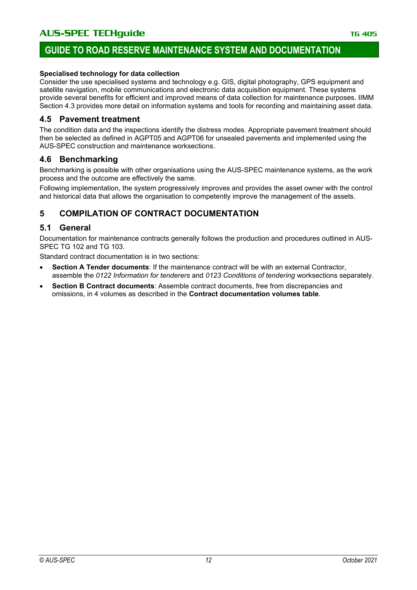### **GUIDE TO ROAD RESERVE MAINTENANCE SYSTEM AND DOCUMENTATION**

#### **Specialised technology for data collection**

Consider the use specialised systems and technology e.g. GIS, digital photography, GPS equipment and satellite navigation, mobile communications and electronic data acquisition equipment. These systems provide several benefits for efficient and improved means of data collection for maintenance purposes. IIMM Section 4.3 provides more detail on information systems and tools for recording and maintaining asset data.

#### **4.5 Pavement treatment**

The condition data and the inspections identify the distress modes. Appropriate pavement treatment should then be selected as defined in AGPT05 and AGPT06 for unsealed pavements and implemented using the AUS-SPEC construction and maintenance worksections.

#### **4.6 Benchmarking**

Benchmarking is possible with other organisations using the AUS-SPEC maintenance systems, as the work process and the outcome are effectively the same.

Following implementation, the system progressively improves and provides the asset owner with the control and historical data that allows the organisation to competently improve the management of the assets.

### **5 COMPILATION OF CONTRACT DOCUMENTATION**

### **5.1 General**

Documentation for maintenance contracts generally follows the production and procedures outlined in AUS-SPEC TG 102 and TG 103.

Standard contract documentation is in two sections:

- **Section A Tender documents: If the maintenance contract will be with an external Contractor,** assemble the *0122 Information for tenderers* and *0123 Conditions of tendering* worksections separately.
- **Section B Contract documents**: Assemble contract documents, free from discrepancies and omissions, in 4 volumes as described in the **Contract documentation volumes table**.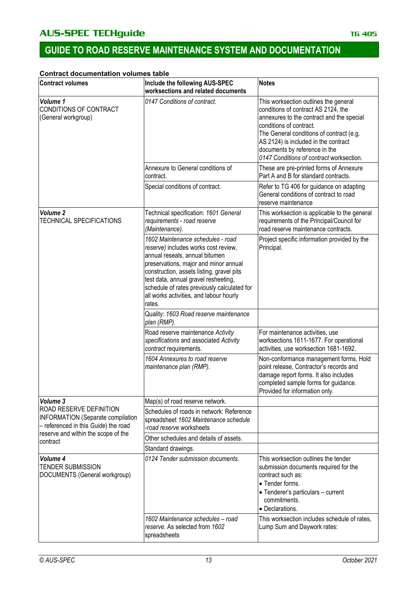# **GUIDE TO ROAD RESERVE MAINTENANCE SYSTEM AND DOCUMENTATION**

#### **Contract documentation volumes table**

| <b>Contract volumes</b>                                                                                     | Include the following AUS-SPEC<br>worksections and related documents                                                                                                                                                                                                                                                                          | <b>Notes</b>                                                                                                                                                                                                                                                                                                          |
|-------------------------------------------------------------------------------------------------------------|-----------------------------------------------------------------------------------------------------------------------------------------------------------------------------------------------------------------------------------------------------------------------------------------------------------------------------------------------|-----------------------------------------------------------------------------------------------------------------------------------------------------------------------------------------------------------------------------------------------------------------------------------------------------------------------|
| Volume 1<br>CONDITIONS OF CONTRACT<br>(General workgroup)                                                   | 0147 Conditions of contract.                                                                                                                                                                                                                                                                                                                  | This worksection outlines the general<br>conditions of contract AS 2124, the<br>annexures to the contract and the special<br>conditions of contract.<br>The General conditions of contract (e.g.<br>AS 2124) is included in the contract<br>documents by reference in the<br>0147 Conditions of contract worksection. |
|                                                                                                             | Annexure to General conditions of<br>contract.                                                                                                                                                                                                                                                                                                | These are pre-printed forms of Annexure<br>Part A and B for standard contracts.                                                                                                                                                                                                                                       |
|                                                                                                             | Special conditions of contract.                                                                                                                                                                                                                                                                                                               | Refer to TG 406 for guidance on adapting<br>General conditions of contract to road<br>reserve maintenance                                                                                                                                                                                                             |
| Volume 2<br>TECHNICAL SPECIFICATIONS                                                                        | Technical specification: 1601 General<br>requirements - road reserve<br>(Maintenance).                                                                                                                                                                                                                                                        | This worksection is applicable to the general<br>requirements of the Principal/Council for<br>road reserve maintenance contracts.                                                                                                                                                                                     |
|                                                                                                             | 1602 Maintenance schedules - road<br>reserve) includes works cost review,<br>annual reseals, annual bitumen<br>preservations, major and minor annual<br>construction, assets listing, gravel pits<br>test data, annual gravel resheeting,<br>schedule of rates previously calculated for<br>all works activities, and labour hourly<br>rates. | Project specific information provided by the<br>Principal.                                                                                                                                                                                                                                                            |
|                                                                                                             | Quality: 1603 Road reserve maintenance<br>plan (RMP).                                                                                                                                                                                                                                                                                         |                                                                                                                                                                                                                                                                                                                       |
|                                                                                                             | Road reserve maintenance Activity<br>specifications and associated Activity<br>contract requirements.                                                                                                                                                                                                                                         | For maintenance activities, use<br>worksections 1611-1677. For operational<br>activities, use worksection 1681-1692.                                                                                                                                                                                                  |
|                                                                                                             | 1604 Annexures to road reserve<br>maintenance plan (RMP).                                                                                                                                                                                                                                                                                     | Non-conformance management forms, Hold<br>point release, Contractor's records and<br>damage report forms. It also includes<br>completed sample forms for guidance.<br>Provided for information only.                                                                                                                  |
| Volume 3                                                                                                    | Map(s) of road reserve network.                                                                                                                                                                                                                                                                                                               |                                                                                                                                                                                                                                                                                                                       |
| ROAD RESERVE DEFINITION<br><b>INFORMATION</b> (Separate compilation<br>- referenced in this Guide) the road | Schedules of roads in network: Reference<br>spreadsheet 1602 Maintenance schedule<br>-road reserve worksheets                                                                                                                                                                                                                                 |                                                                                                                                                                                                                                                                                                                       |
| reserve and within the scope of the<br>contract                                                             | Other schedules and details of assets.                                                                                                                                                                                                                                                                                                        |                                                                                                                                                                                                                                                                                                                       |
|                                                                                                             | Standard drawings.                                                                                                                                                                                                                                                                                                                            |                                                                                                                                                                                                                                                                                                                       |
| Volume 4<br><b>TENDER SUBMISSION</b><br>DOCUMENTS (General workgroup)                                       | 0124 Tender submission documents.                                                                                                                                                                                                                                                                                                             | This worksection outlines the tender<br>submission documents required for the<br>contract such as:<br>• Tender forms.<br>• Tenderer's particulars - current<br>commitments.<br>• Declarations.                                                                                                                        |
|                                                                                                             | 1602 Maintenance schedules - road<br>reserve. As selected from 1602<br>spreadsheets                                                                                                                                                                                                                                                           | This worksection includes schedule of rates,<br>Lump Sum and Daywork rates:                                                                                                                                                                                                                                           |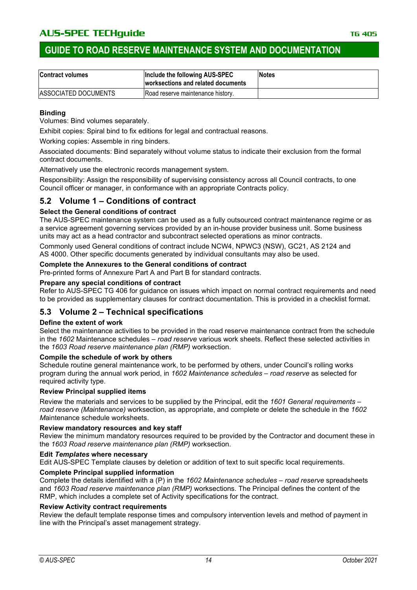### **GUIDE TO ROAD RESERVE MAINTENANCE SYSTEM AND DOCUMENTATION**

| <b>Contract volumes</b>      | Include the following AUS-SPEC<br>worksections and related documents | <b>Notes</b> |
|------------------------------|----------------------------------------------------------------------|--------------|
| <b>IASSOCIATED DOCUMENTS</b> | Road reserve maintenance history.                                    |              |

#### **Binding**

Volumes: Bind volumes separately.

Exhibit copies: Spiral bind to fix editions for legal and contractual reasons.

Working copies: Assemble in ring binders.

Associated documents: Bind separately without volume status to indicate their exclusion from the formal contract documents.

Alternatively use the electronic records management system.

Responsibility: Assign the responsibility of supervising consistency across all Council contracts, to one Council officer or manager, in conformance with an appropriate Contracts policy.

### **5.2 Volume 1 – Conditions of contract**

#### **Select the General conditions of contract**

The AUS-SPEC maintenance system can be used as a fully outsourced contract maintenance regime or as a service agreement governing services provided by an in-house provider business unit. Some business units may act as a head contractor and subcontract selected operations as minor contracts.

Commonly used General conditions of contract include NCW4, NPWC3 (NSW), GC21, AS 2124 and AS 4000. Other specific documents generated by individual consultants may also be used.

#### **Complete the Annexures to the General conditions of contract**

Pre-printed forms of Annexure Part A and Part B for standard contracts.

#### **Prepare any special conditions of contract**

Refer to AUS-SPEC TG 406 for guidance on issues which impact on normal contract requirements and need to be provided as supplementary clauses for contract documentation. This is provided in a checklist format.

### **5.3 Volume 2 – Technical specifications**

#### **Define the extent of work**

Select the maintenance activities to be provided in the road reserve maintenance contract from the schedule in the *1602* Maintenance schedules *– road reserve* various work sheets. Reflect these selected activities in the *1603 Road reserve maintenance plan (RMP)* worksection.

#### **Compile the schedule of work by others**

Schedule routine general maintenance work, to be performed by others, under Council's rolling works program during the annual work period, in *1602 Maintenance schedules – road reserve* as selected for required activity type.

#### **Review Principal supplied items**

Review the materials and services to be supplied by the Principal, edit the *1601 General requirements – road reserve (Maintenance)* worksection, as appropriate, and complete or delete the schedule in the *1602 M*aintenance schedule worksheets.

#### **Review mandatory resources and key staff**

Review the minimum mandatory resources required to be provided by the Contractor and document these in the *1603 Road reserve maintenance plan (RMP)* worksection.

#### **Edit** *Templates* **where necessary**

Edit AUS-SPEC Template clauses by deletion or addition of text to suit specific local requirements.

#### **Complete Principal supplied information**

Complete the details identified with a (P) in the *1602 Maintenance schedules – road reserve* spreadsheets and *1603 Road reserve maintenance plan (RMP)* worksections. The Principal defines the content of the RMP, which includes a complete set of Activity specifications for the contract.

#### **Review Activity contract requirements**

Review the default template response times and compulsory intervention levels and method of payment in line with the Principal's asset management strategy.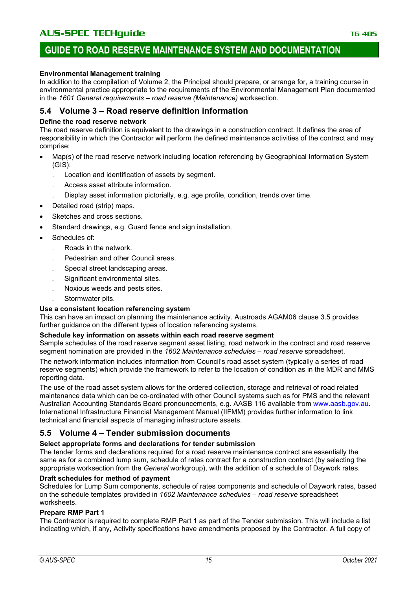#### **Environmental Management training**

In addition to the compilation of Volume 2, the Principal should prepare, or arrange for, a training course in environmental practice appropriate to the requirements of the Environmental Management Plan documented in the *1601 General requirements – road reserve (Maintenance)* worksection.

#### **5.4 Volume 3 – Road reserve definition information**

#### **Define the road reserve network**

The road reserve definition is equivalent to the drawings in a construction contract. It defines the area of responsibility in which the Contractor will perform the defined maintenance activities of the contract and may comprise:

- Map(s) of the road reserve network including location referencing by Geographical Information System (GIS):
	- . Location and identification of assets by segment.
	- . Access asset attribute information.
	- . Display asset information pictorially, e.g. age profile, condition, trends over time.
- Detailed road (strip) maps.
- Sketches and cross sections.
- Standard drawings, e.g. Guard fence and sign installation.
- Schedules of:
	- . Roads in the network.
	- . Pedestrian and other Council areas.
	- . Special street landscaping areas.
	- . Significant environmental sites.
	- . Noxious weeds and pests sites.
	- . Stormwater pits.

#### **Use a consistent location referencing system**

This can have an impact on planning the maintenance activity. Austroads AGAM06 clause 3.5 provides further guidance on the different types of location referencing systems.

#### **Schedule key information on assets within each road reserve segment**

Sample schedules of the road reserve segment asset listing, road network in the contract and road reserve segment nomination are provided in the *1602 Maintenance schedules – road reserve* spreadsheet.

The network information includes information from Council's road asset system (typically a series of road reserve segments) which provide the framework to refer to the location of condition as in the MDR and MMS reporting data.

The use of the road asset system allows for the ordered collection, storage and retrieval of road related maintenance data which can be co-ordinated with other Council systems such as for PMS and the relevant Australian Accounting Standards Board pronouncements, e.g. AASB 116 available from [www.aasb.gov.au.](https://www.aasb.gov.au/pronouncements) International Infrastructure Financial Management Manual (IIFMM) provides further information to link technical and financial aspects of managing infrastructure assets.

#### **5.5 Volume 4 – Tender submission documents**

#### **Select appropriate forms and declarations for tender submission**

The tender forms and declarations required for a road reserve maintenance contract are essentially the same as for a combined lump sum, schedule of rates contract for a construction contract (by selecting the appropriate worksection from the *General* workgroup), with the addition of a schedule of Daywork rates.

#### **Draft schedules for method of payment**

Schedules for Lump Sum components, schedule of rates components and schedule of Daywork rates, based on the schedule templates provided in *1602 Maintenance schedules – road reserve* spreadsheet worksheets.

#### **Prepare RMP Part 1**

The Contractor is required to complete RMP Part 1 as part of the Tender submission. This will include a list indicating which, if any, Activity specifications have amendments proposed by the Contractor. A full copy of